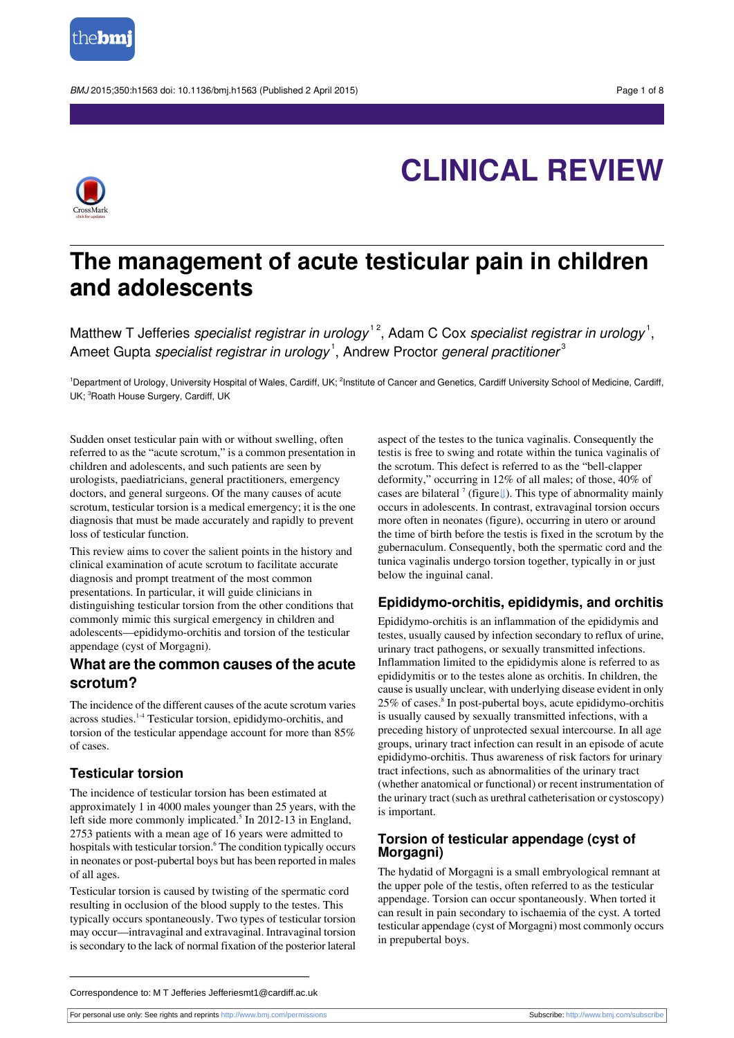



# **CLINICAL REVIEW**

# **The management of acute testicular pain in children and adolescents**

Matthew T Jefferies *specialist registrar in urology*  $^{12}$ , Adam C Cox *specialist registrar in urology*  $^{1}$ , Ameet Gupta *specialist registrar in urology*  $^1$ , Andrew Proctor *general practitioner* $^3$ 

<sup>1</sup>Department of Urology, University Hospital of Wales, Cardiff, UK; <sup>2</sup>Institute of Cancer and Genetics, Cardiff University School of Medicine, Cardiff, UK; <sup>3</sup>Roath House Surgery, Cardiff, UK

Sudden onset testicular pain with or without swelling, often referred to as the "acute scrotum," is a common presentation in children and adolescents, and such patients are seen by urologists, paediatricians, general practitioners, emergency doctors, and general surgeons. Of the many causes of acute scrotum, testicular torsion is a medical emergency; it is the one diagnosis that must be made accurately and rapidly to prevent loss of testicular function.

This review aims to cover the salient points in the history and clinical examination of acute scrotum to facilitate accurate diagnosis and prompt treatment of the most common presentations. In particular, it will guide clinicians in distinguishing testicular torsion from the other conditions that commonly mimic this surgical emergency in children and adolescents—epididymo-orchitis and torsion of the testicular appendage (cyst of Morgagni).

# **What are the common causes of the acute scrotum?**

The incidence of the different causes of the acute scrotum varies across studies.1-4 Testicular torsion, epididymo-orchitis, and torsion of the testicular appendage account for more than 85% of cases.

# **Testicular torsion**

The incidence of testicular torsion has been estimated at approximately 1 in 4000 males younger than 25 years, with the left side more commonly implicated.<sup>5</sup> In 2012-13 in England, 2753 patients with a mean age of 16 years were admitted to hospitals with testicular torsion.<sup>6</sup> The condition typically occurs in neonates or post-pubertal boys but has been reported in males of all ages.

Testicular torsion is caused by twisting of the spermatic cord resulting in occlusion of the blood supply to the testes. This typically occurs spontaneously. Two types of testicular torsion may occur—intravaginal and extravaginal. Intravaginal torsion is secondary to the lack of normal fixation of the posterior lateral aspect of the testes to the tunica vaginalis. Consequently the testis is free to swing and rotate within the tunica vaginalis of the scrotum. This defect is referred to as the "bell-clapper deformity," occurring in 12% of all males; of those, 40% of cases are bilateral<sup>7</sup> (figure↓). This type of abnormality mainly occurs in adolescents. In contrast, extravaginal torsion occurs more often in neonates (figure), occurring in utero or around the time of birth before the testis is fixed in the scrotum by the gubernaculum. Consequently, both the spermatic cord and the tunica vaginalis undergo torsion together, typically in or just below the inguinal canal.

# **Epididymo-orchitis, epididymis, and orchitis**

Epididymo-orchitis is an inflammation of the epididymis and testes, usually caused by infection secondary to reflux of urine, urinary tract pathogens, or sexually transmitted infections. Inflammation limited to the epididymis alone is referred to as epididymitis or to the testes alone as orchitis. In children, the cause is usually unclear, with underlying disease evident in only 25% of cases.<sup>8</sup> In post-pubertal boys, acute epididymo-orchitis is usually caused by sexually transmitted infections, with a preceding history of unprotected sexual intercourse. In all age groups, urinary tract infection can result in an episode of acute epididymo-orchitis. Thus awareness of risk factors for urinary tract infections, such as abnormalities of the urinary tract (whether anatomical or functional) or recent instrumentation of the urinary tract (such as urethral catheterisation or cystoscopy) is important.

# **Torsion of testicular appendage (cyst of Morgagni)**

The hydatid of Morgagni is a small embryological remnant at the upper pole of the testis, often referred to as the testicular appendage. Torsion can occur spontaneously. When torted it can result in pain secondary to ischaemia of the cyst. A torted testicular appendage (cyst of Morgagni) most commonly occurs in prepubertal boys.

Correspondence to: M T Jefferies Jefferiesmt1@cardiff.ac.uk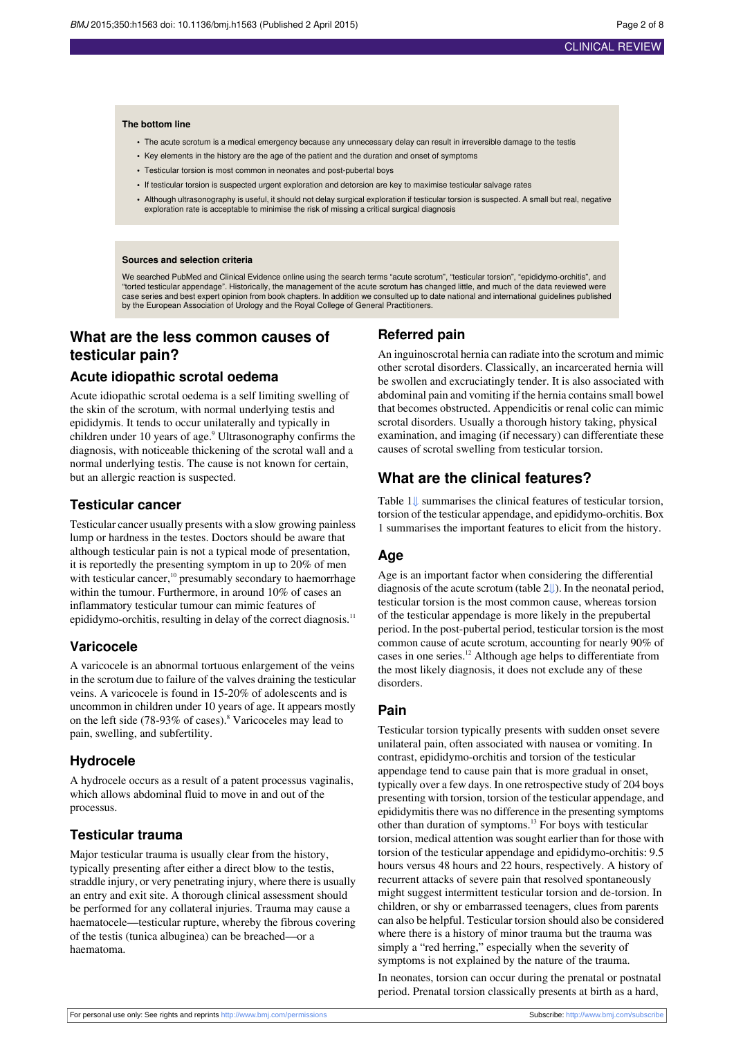#### **The bottom line**

- **•** The acute scrotum is a medical emergency because any unnecessary delay can result in irreversible damage to the testis
- **•** Key elements in the history are the age of the patient and the duration and onset of symptoms
- **•** Testicular torsion is most common in neonates and post-pubertal boys
- **•** If testicular torsion is suspected urgent exploration and detorsion are key to maximise testicular salvage rates
- **•** Although ultrasonography is useful, it should not delay surgical exploration if testicular torsion is suspected. A small but real, negative exploration rate is acceptable to minimise the risk of missing a critical surgical diagnosis

#### **Sources and selection criteria**

We searched PubMed and Clinical Evidence online using the search terms "acute scrotum", "testicular torsion", "epididymo-orchitis", and "torted testicular appendage". Historically, the management of the acute scrotum has changed little, and much of the data reviewed were case series and best expert opinion from book chapters. In addition we consulted up to date national and international guidelines published by the European Association of Urology and the Royal College of General Practitioners.

# **What are the less common causes of testicular pain?**

# **Acute idiopathic scrotal oedema**

Acute idiopathic scrotal oedema is a self limiting swelling of the skin of the scrotum, with normal underlying testis and epididymis. It tends to occur unilaterally and typically in children under 10 years of age.<sup>9</sup> Ultrasonography confirms the diagnosis, with noticeable thickening of the scrotal wall and a normal underlying testis. The cause is not known for certain, but an allergic reaction is suspected.

# **Testicular cancer**

Testicular cancer usually presents with a slow growing painless lump or hardness in the testes. Doctors should be aware that although testicular pain is not a typical mode of presentation, it is reportedly the presenting symptom in up to 20% of men with testicular cancer,<sup>10</sup> presumably secondary to haemorrhage within the tumour. Furthermore, in around 10% of cases an inflammatory testicular tumour can mimic features of epididymo-orchitis, resulting in delay of the correct diagnosis.<sup>11</sup>

# **Varicocele**

A varicocele is an abnormal tortuous enlargement of the veins in the scrotum due to failure of the valves draining the testicular veins. A varicocele is found in 15-20% of adolescents and is uncommon in children under 10 years of age. It appears mostly on the left side (78-93% of cases).<sup>8</sup> Varicoceles may lead to pain, swelling, and subfertility.

# **Hydrocele**

A hydrocele occurs as a result of a patent processus vaginalis, which allows abdominal fluid to move in and out of the processus.

# **Testicular trauma**

Major testicular trauma is usually clear from the history, typically presenting after either a direct blow to the testis, straddle injury, or very penetrating injury, where there is usually an entry and exit site. A thorough clinical assessment should be performed for any collateral injuries. Trauma may cause a haematocele—testicular rupture, whereby the fibrous covering of the testis (tunica albuginea) can be breached—or a haematoma.

# **Referred pain**

An inguinoscrotal hernia can radiate into the scrotum and mimic other scrotal disorders. Classically, an incarcerated hernia will be swollen and excruciatingly tender. It is also associated with abdominal pain and vomiting if the hernia contains small bowel that becomes obstructed. Appendicitis or renal colic can mimic scrotal disorders. Usually a thorough history taking, physical examination, and imaging (if necessary) can differentiate these causes of scrotal swelling from testicular torsion.

# **What are the clinical features?**

Table 1[⇓](#page-5-0) summarises the clinical features of testicular torsion, torsion of the testicular appendage, and epididymo-orchitis. Box 1 summarises the important features to elicit from the history.

# **Age**

Age is an important factor when considering the differential diagnosis of the acute scrotum (table [2⇓](#page-6-0)). In the neonatal period, testicular torsion is the most common cause, whereas torsion of the testicular appendage is more likely in the prepubertal period. In the post-pubertal period, testicular torsion is the most common cause of acute scrotum, accounting for nearly 90% of cases in one series.<sup>12</sup> Although age helps to differentiate from the most likely diagnosis, it does not exclude any of these disorders.

# **Pain**

Testicular torsion typically presents with sudden onset severe unilateral pain, often associated with nausea or vomiting. In contrast, epididymo-orchitis and torsion of the testicular appendage tend to cause pain that is more gradual in onset, typically over a few days. In one retrospective study of 204 boys presenting with torsion, torsion of the testicular appendage, and epididymitis there was no difference in the presenting symptoms other than duration of symptoms.<sup>13</sup> For boys with testicular torsion, medical attention wassought earlier than for those with torsion of the testicular appendage and epididymo-orchitis: 9.5 hours versus 48 hours and 22 hours, respectively. A history of recurrent attacks of severe pain that resolved spontaneously might suggest intermittent testicular torsion and de-torsion. In children, or shy or embarrassed teenagers, clues from parents can also be helpful. Testicular torsion should also be considered where there is a history of minor trauma but the trauma was simply a "red herring," especially when the severity of symptoms is not explained by the nature of the trauma.

In neonates, torsion can occur during the prenatal or postnatal period. Prenatal torsion classically presents at birth as a hard,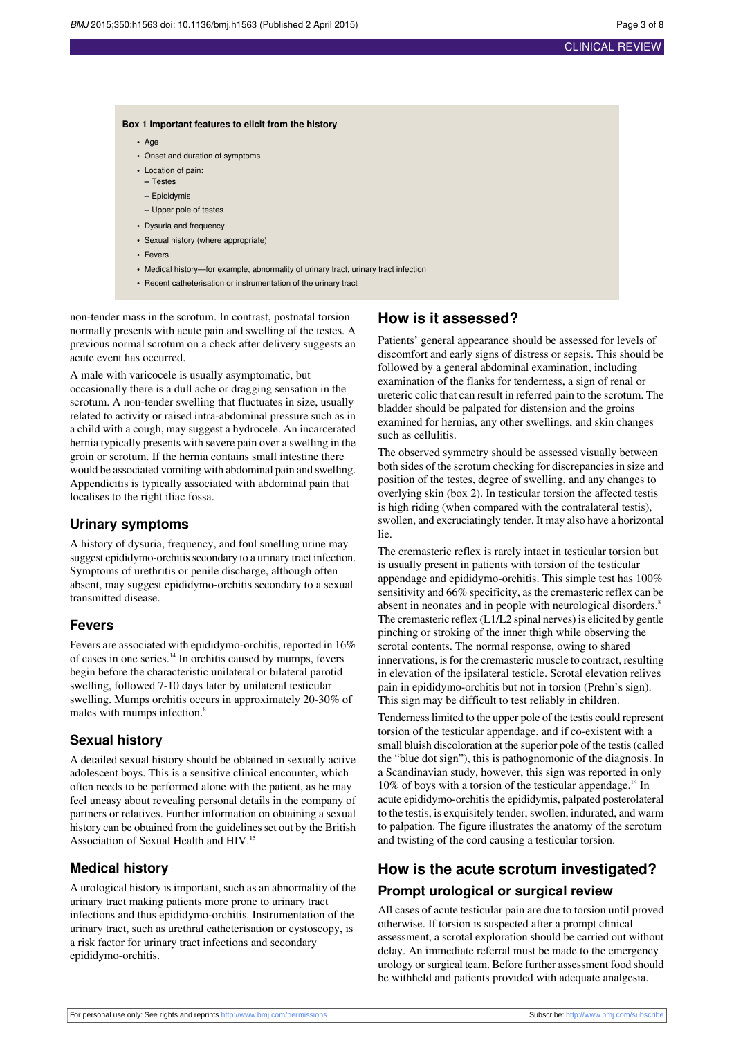## **Box 1 Important features to elicit from the history**

- **•** Age
- **•** Onset and duration of symptoms
- **•** Location of pain:
- **–** Testes
- **–** Epididymis
- **–** Upper pole of testes
- Dysuria and frequency
- **•** Sexual history (where appropriate)
- **•** Fevers
- **•** Medical history—for example, abnormality of urinary tract, urinary tract infection
- **•** Recent catheterisation or instrumentation of the urinary tract

non-tender mass in the scrotum. In contrast, postnatal torsion normally presents with acute pain and swelling of the testes. A previous normal scrotum on a check after delivery suggests an acute event has occurred.

A male with varicocele is usually asymptomatic, but occasionally there is a dull ache or dragging sensation in the scrotum. A non-tender swelling that fluctuates in size, usually related to activity or raised intra-abdominal pressure such as in a child with a cough, may suggest a hydrocele. An incarcerated hernia typically presents with severe pain over a swelling in the groin or scrotum. If the hernia contains small intestine there would be associated vomiting with abdominal pain and swelling. Appendicitis is typically associated with abdominal pain that localises to the right iliac fossa.

# **Urinary symptoms**

A history of dysuria, frequency, and foul smelling urine may suggest epididymo-orchitis secondary to a urinary tract infection. Symptoms of urethritis or penile discharge, although often absent, may suggest epididymo-orchitis secondary to a sexual transmitted disease.

# **Fevers**

Fevers are associated with epididymo-orchitis, reported in 16% of cases in one series.<sup>14</sup> In orchitis caused by mumps, fevers begin before the characteristic unilateral or bilateral parotid swelling, followed 7-10 days later by unilateral testicular swelling. Mumps orchitis occurs in approximately 20-30% of males with mumps infection.<sup>8</sup>

# **Sexual history**

A detailed sexual history should be obtained in sexually active adolescent boys. This is a sensitive clinical encounter, which often needs to be performed alone with the patient, as he may feel uneasy about revealing personal details in the company of partners or relatives. Further information on obtaining a sexual history can be obtained from the guidelines set out by the British Association of Sexual Health and HIV.<sup>15</sup>

# **Medical history**

A urological history is important, such as an abnormality of the urinary tract making patients more prone to urinary tract infections and thus epididymo-orchitis. Instrumentation of the urinary tract, such as urethral catheterisation or cystoscopy, is a risk factor for urinary tract infections and secondary epididymo-orchitis.

# **How is it assessed?**

Patients' general appearance should be assessed for levels of discomfort and early signs of distress or sepsis. This should be followed by a general abdominal examination, including examination of the flanks for tenderness, a sign of renal or ureteric colic that can result in referred pain to the scrotum. The bladder should be palpated for distension and the groins examined for hernias, any other swellings, and skin changes such as cellulitis.

The observed symmetry should be assessed visually between both sides of the scrotum checking for discrepancies in size and position of the testes, degree of swelling, and any changes to overlying skin (box 2). In testicular torsion the affected testis is high riding (when compared with the contralateral testis), swollen, and excruciatingly tender. It may also have a horizontal lie.

The cremasteric reflex is rarely intact in testicular torsion but is usually present in patients with torsion of the testicular appendage and epididymo-orchitis. This simple test has 100% sensitivity and 66% specificity, as the cremasteric reflex can be absent in neonates and in people with neurological disorders.<sup>8</sup> The cremasteric reflex (L1/L2 spinal nerves) is elicited by gentle pinching or stroking of the inner thigh while observing the scrotal contents. The normal response, owing to shared innervations, is for the cremasteric muscle to contract, resulting in elevation of the ipsilateral testicle. Scrotal elevation relives pain in epididymo-orchitis but not in torsion (Prehn's sign). This sign may be difficult to test reliably in children.

Tendernesslimited to the upper pole of the testis could represent torsion of the testicular appendage, and if co-existent with a small bluish discoloration at the superior pole of the testis(called the "blue dot sign"), this is pathognomonic of the diagnosis. In a Scandinavian study, however, this sign was reported in only  $10\%$  of boys with a torsion of the testicular appendage.<sup>14</sup> In acute epididymo-orchitis the epididymis, palpated posterolateral to the testis, is exquisitely tender, swollen, indurated, and warm to palpation. The figure illustrates the anatomy of the scrotum and twisting of the cord causing a testicular torsion.

# **How is the acute scrotum investigated? Prompt urological or surgical review**

All cases of acute testicular pain are due to torsion until proved otherwise. If torsion is suspected after a prompt clinical assessment, a scrotal exploration should be carried out without delay. An immediate referral must be made to the emergency urology orsurgical team. Before further assessment food should be withheld and patients provided with adequate analgesia.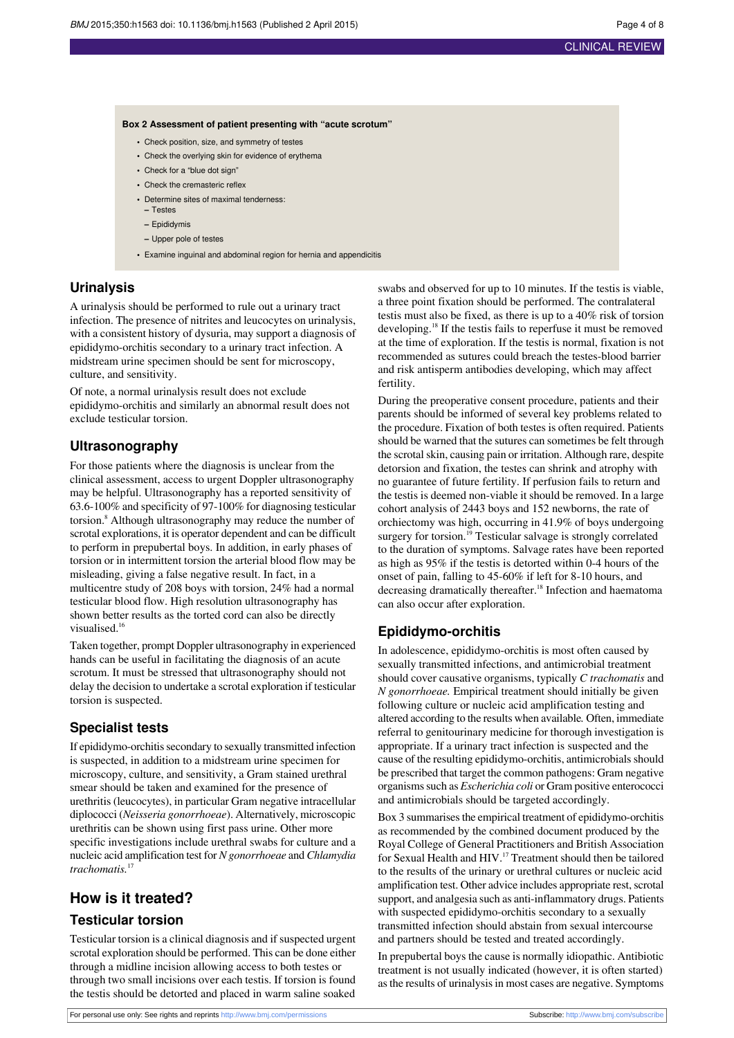## **Box 2 Assessment of patient presenting with "acute scrotum"**

- **•** Check position, size, and symmetry of testes
- **•** Check the overlying skin for evidence of erythema
- **•** Check for a "blue dot sign"
- **•** Check the cremasteric reflex
- **•** Determine sites of maximal tenderness:
- **–** Testes **–** Epididymis
- **–** Upper pole of testes
- **•** Examine inguinal and abdominal region for hernia and appendicitis

# **Urinalysis**

A urinalysis should be performed to rule out a urinary tract infection. The presence of nitrites and leucocytes on urinalysis, with a consistent history of dysuria, may support a diagnosis of epididymo-orchitis secondary to a urinary tract infection. A midstream urine specimen should be sent for microscopy, culture, and sensitivity.

Of note, a normal urinalysis result does not exclude epididymo-orchitis and similarly an abnormal result does not exclude testicular torsion.

# **Ultrasonography**

For those patients where the diagnosis is unclear from the clinical assessment, access to urgent Doppler ultrasonography may be helpful. Ultrasonography has a reported sensitivity of 63.6-100% and specificity of 97-100% for diagnosing testicular torsion.<sup>8</sup> Although ultrasonography may reduce the number of scrotal explorations, it is operator dependent and can be difficult to perform in prepubertal boys. In addition, in early phases of torsion or in intermittent torsion the arterial blood flow may be misleading, giving a false negative result. In fact, in a multicentre study of 208 boys with torsion, 24% had a normal testicular blood flow. High resolution ultrasonography has shown better results as the torted cord can also be directly visualised.<sup>16</sup>

Taken together, prompt Doppler ultrasonography in experienced hands can be useful in facilitating the diagnosis of an acute scrotum. It must be stressed that ultrasonography should not delay the decision to undertake a scrotal exploration if testicular torsion is suspected.

# **Specialist tests**

If epididymo-orchitis secondary to sexually transmitted infection is suspected, in addition to a midstream urine specimen for microscopy, culture, and sensitivity, a Gram stained urethral smear should be taken and examined for the presence of urethritis (leucocytes), in particular Gram negative intracellular diplococci (*Neisseria gonorrhoeae*). Alternatively, microscopic urethritis can be shown using first pass urine. Other more specific investigations include urethral swabs for culture and a nucleic acid amplification test for *N gonorrhoeae* and *Chlamydia trachomatis.*<sup>17</sup>

# **How is it treated?**

# **Testicular torsion**

Testicular torsion is a clinical diagnosis and if suspected urgent scrotal exploration should be performed. This can be done either through a midline incision allowing access to both testes or through two small incisions over each testis. If torsion is found the testis should be detorted and placed in warm saline soaked

swabs and observed for up to 10 minutes. If the testis is viable, a three point fixation should be performed. The contralateral testis must also be fixed, as there is up to a 40% risk of torsion developing.<sup>18</sup> If the testis fails to reperfuse it must be removed at the time of exploration. If the testis is normal, fixation is not recommended as sutures could breach the testes-blood barrier and risk antisperm antibodies developing, which may affect fertility.

During the preoperative consent procedure, patients and their parents should be informed of several key problems related to the procedure. Fixation of both testes is often required. Patients should be warned that the sutures can sometimes be felt through the scrotal skin, causing pain or irritation. Although rare, despite detorsion and fixation, the testes can shrink and atrophy with no guarantee of future fertility. If perfusion fails to return and the testis is deemed non-viable it should be removed. In a large cohort analysis of 2443 boys and 152 newborns, the rate of orchiectomy was high, occurring in 41.9% of boys undergoing surgery for torsion.<sup>19</sup> Testicular salvage is strongly correlated to the duration of symptoms. Salvage rates have been reported as high as 95% if the testis is detorted within 0-4 hours of the onset of pain, falling to 45-60% if left for 8-10 hours, and decreasing dramatically thereafter.<sup>18</sup> Infection and haematoma can also occur after exploration.

# **Epididymo-orchitis**

In adolescence, epididymo-orchitis is most often caused by sexually transmitted infections, and antimicrobial treatment should cover causative organisms, typically *C trachomatis* and *N gonorrhoeae.* Empirical treatment should initially be given following culture or nucleic acid amplification testing and altered according to the results when available*.* Often, immediate referral to genitourinary medicine for thorough investigation is appropriate. If a urinary tract infection is suspected and the cause of the resulting epididymo-orchitis, antimicrobials should be prescribed that target the common pathogens: Gram negative organisms such as *Escherichia coli* or Gram positive enterococci and antimicrobials should be targeted accordingly.

Box 3 summarises the empirical treatment of epididymo-orchitis as recommended by the combined document produced by the Royal College of General Practitioners and British Association for Sexual Health and HIV.<sup>17</sup> Treatment should then be tailored to the results of the urinary or urethral cultures or nucleic acid amplification test. Other advice includes appropriate rest, scrotal support, and analgesia such as anti-inflammatory drugs. Patients with suspected epididymo-orchitis secondary to a sexually transmitted infection should abstain from sexual intercourse and partners should be tested and treated accordingly.

In prepubertal boys the cause is normally idiopathic. Antibiotic treatment is not usually indicated (however, it is often started) asthe results of urinalysisin most cases are negative. Symptoms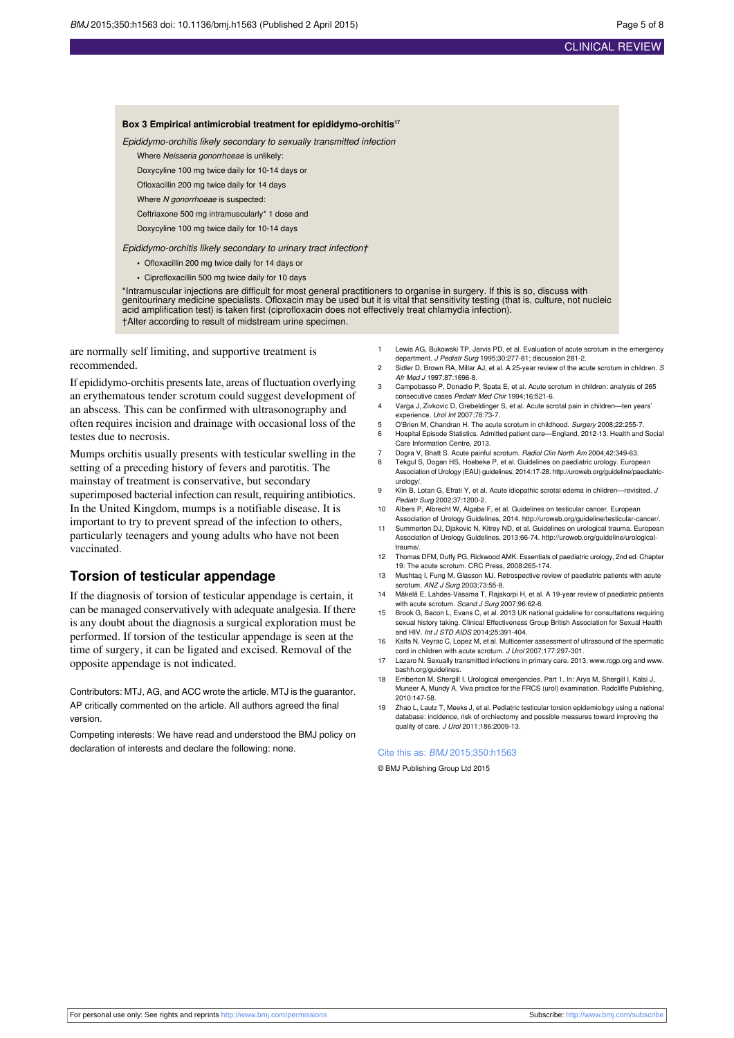#### **Box 3 Empirical antimicrobial treatment for epididymo-orchitis<sup>17</sup>**

Epididymo-orchitis likely secondary to sexually transmitted infection

Where Neisseria gonorrhoeae is unlikely:

Doxycyline 100 mg twice daily for 10-14 days or

Ofloxacillin 200 mg twice daily for 14 days

Where N gonorrhoeae is suspected

Ceftriaxone 500 mg intramuscularly\* 1 dose and

Doxycyline 100 mg twice daily for 10-14 days

Epididymo-orchitis likely secondary to urinary tract infection†

- **•** Ofloxacillin 200 mg twice daily for 14 days or
- **•** Ciprofloxacillin 500 mg twice daily for 10 days

\*Intramuscular injections are difficult for most general practitioners to organise in surgery. If this is so, discuss with genitourinary medicine specialists. Ofloxacin may be used but it is vital that sensitivity testing (that is, culture, not nucleic acid amplification test) is taken first (ciprofloxacin does not effectively treat chlamydia infection). †Alter according to result of midstream urine specimen.

are normally self limiting, and supportive treatment is recommended.

If epididymo-orchitis presentslate, areas of fluctuation overlying an erythematous tender scrotum could suggest development of an abscess. This can be confirmed with ultrasonography and often requires incision and drainage with occasional loss of the testes due to necrosis.

Mumps orchitis usually presents with testicular swelling in the setting of a preceding history of fevers and parotitis. The mainstay of treatment is conservative, but secondary superimposed bacterial infection can result, requiring antibiotics. In the United Kingdom, mumps is a notifiable disease. It is important to try to prevent spread of the infection to others, particularly teenagers and young adults who have not been vaccinated.

# **Torsion of testicular appendage**

If the diagnosis of torsion of testicular appendage is certain, it can be managed conservatively with adequate analgesia. If there is any doubt about the diagnosis a surgical exploration must be performed. If torsion of the testicular appendage is seen at the time of surgery, it can be ligated and excised. Removal of the opposite appendage is not indicated.

Contributors: MTJ, AG, and ACC wrote the article. MTJ is the guarantor. AP critically commented on the article. All authors agreed the final version.

Competing interests: We have read and understood the BMJ policy on declaration of interests and declare the following: none.

- 1 Lewis AG, Bukowski TP, Jarvis PD, et al. Evaluation of acute scrotum in the emergency department. J Pediatr Surg 1995;30:277-81; discussion 281-2.
- 2 Sidler D, Brown RA, Millar AJ, et al. A 25-year review of the acute scrotum in children. S Afr Med J 1997;87:1696-8.
- 3 Campobasso P, Donadio P, Spata E, et al. Acute scrotum in children: analysis of 265 consecutive cases Pediatr Med Chir 1994;16:521-6.
- 4 Varga J, Zivkovic D, Grebeldinger S, et al. Acute scrotal pain in children—ten years' experience. Urol Int 2007;78:73-7.
- 5 O'Brien M, Chandran H. The acute scrotum in childhood. Surgery 2008;22:255-7.
- 6 Hospital Episode Statistics. Admitted patient care—England, 2012-13. Health and Social Care Information Centre, 2013.
- 7 Dogra V, Bhatt S. Acute painful scrotum. Radiol Clin North Am 2004;42:349-63.<br>8. Teknul S. Dogan HS. Hoebeke P. et al. Guidelines on paediatric urology. Euron Tekgul S, Dogan HS, Hoebeke P, et al. Guidelines on paediatric urology. European Association of Urology (EAU) guidelines, 2014:17-28. [http://uroweb.org/guideline/paediatric](http://uroweb.org/guideline/paediatric-urology/)[urology/.](http://uroweb.org/guideline/paediatric-urology/)
- 9 Klin B, Lotan G, Efrati Y, et al. Acute idiopathic scrotal edema in children-Pediatr Surg 2002;37:1200-2.
- 10 Albers P, Albrecht W, Algaba F, et al. Guidelines on testicular cancer. European
- Association of Urology Guidelines, 2014. <http://uroweb.org/guideline/testicular-cancer/>. 11 Summerton DJ, Djakovic N, Kitrey ND, et al. Guidelines on urological trauma. European Association of Urology Guidelines, 2013:66-74. [http://uroweb.org/guideline/urological](http://uroweb.org/guideline/urological-trauma/)[trauma/.](http://uroweb.org/guideline/urological-trauma/)
- 12 Thomas DFM, Duffy PG, Rickwood AMK. Essentials of paediatric urology, 2nd ed. Chapter 19: The acute scrotum. CRC Press, 2008:265-174.
- 13 Mushtaq I, Fung M, Glasson MJ. Retrospective review of paediatric patients with acute scrotum. ANZ J Surg 2003;73:55-8.
- 14 Mäkelä E, Lahdes-Vasama T, Rajakorpi H, et al. A 19-year review of paediatric patients with acute scrotum. Scand J Surg 2007;96:62-6.
- 15 Brook G, Bacon L, Evans C, et al. 2013 UK national guideline for consultations requiring sexual history taking. Clinical Effectiveness Group British Association for Sexual Health and HIV. *Int J STD AIDS* 2014:25:391-404.
- 16 Kalfa N, Veyrac C, Lopez M, et al. Multicenter assessment of ultrasound of the spermatic cord in children with acute scrotum. J Urol 2007;177:297-301.
- 17 Lazaro N. Sexually transmitted infections in primary care. 2013. [www.rcgp.org](http://www.rcgp.org) and [www.](http://www.bashh.org/guidelines) [bashh.org/guidelines.](http://www.bashh.org/guidelines)
- 18 Emberton M, Shergill I. Urological emergencies. Part 1. In: Arya M, Shergill I, Kalsi J, Muneer A, Mundy A. Viva practice for the FRCS (urol) examination. Radcliffe Publishing, 2010:147-58.
- 19 Zhao L, Lautz T, Meeks J, et al. Pediatric testicular torsion epidemiology using a national database: incidence, risk of orchiectomy and possible measures toward improving the quality of care. J Urol 2011;186:2009-13.

#### Cite this as: BMJ 2015;350:h1563

© BMJ Publishing Group Ltd 2015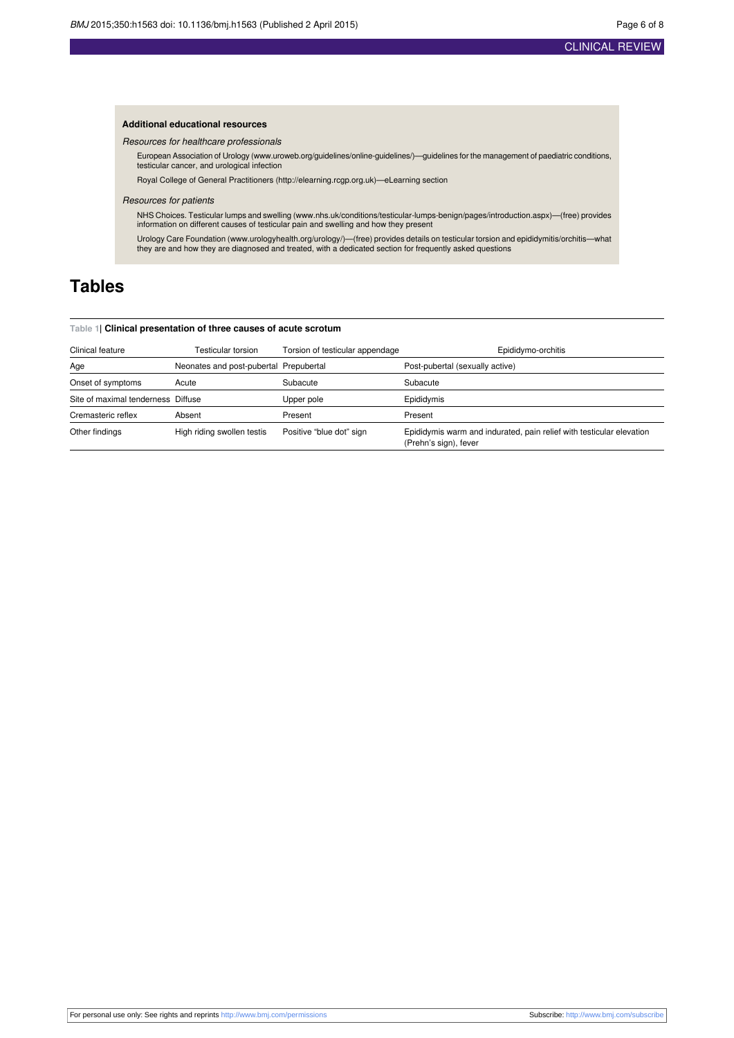# CLINICAL REVIEW

## **Additional educational resources**

Resources for healthcare professionals

European Association of Urology ([www.uroweb.org/guidelines/online-guidelines/](http://www.uroweb.org/guidelines/online-guidelines/))—guidelines for the management of paediatric conditions, testicular cancer, and urological infection

Royal College of General Practitioners ([http://elearning.rcgp.org.uk](http://elearning.rcgp.org.uk/))—eLearning section

#### Resources for patients

NHS Choices. Testicular lumps and swelling [\(www.nhs.uk/conditions/testicular-lumps-benign/pages/introduction.aspx\)](http://www.nhs.uk/conditions/testicular-lumps-benign/pages/introduction.aspx)—(free) provides information on different causes of testicular pain and swelling and how they present

Urology Care Foundation ([www.urologyhealth.org/urology/\)](http://www.urologyhealth.org/urology/)—(free) provides details on testicular torsion and epididymitis/orchitis—what<br>they are and how they are diagnosed and treated, with a dedicated section for frequently

# <span id="page-5-0"></span>**Tables**

#### **Table 1| Clinical presentation of three causes of acute scrotum**

| Clinical feature                   | Testicular torsion                     | Torsion of testicular appendage | Epididymo-orchitis                                                                            |
|------------------------------------|----------------------------------------|---------------------------------|-----------------------------------------------------------------------------------------------|
| Age                                | Neonates and post-pubertal Prepubertal |                                 | Post-pubertal (sexually active)                                                               |
| Onset of symptoms                  | Acute                                  | Subacute                        | Subacute                                                                                      |
| Site of maximal tenderness Diffuse |                                        | Upper pole                      | Epididymis                                                                                    |
| Cremasteric reflex                 | Absent                                 | Present                         | Present                                                                                       |
| Other findings                     | High riding swollen testis             | Positive "blue dot" sign        | Epididymis warm and indurated, pain relief with testicular elevation<br>(Prehn's sign), fever |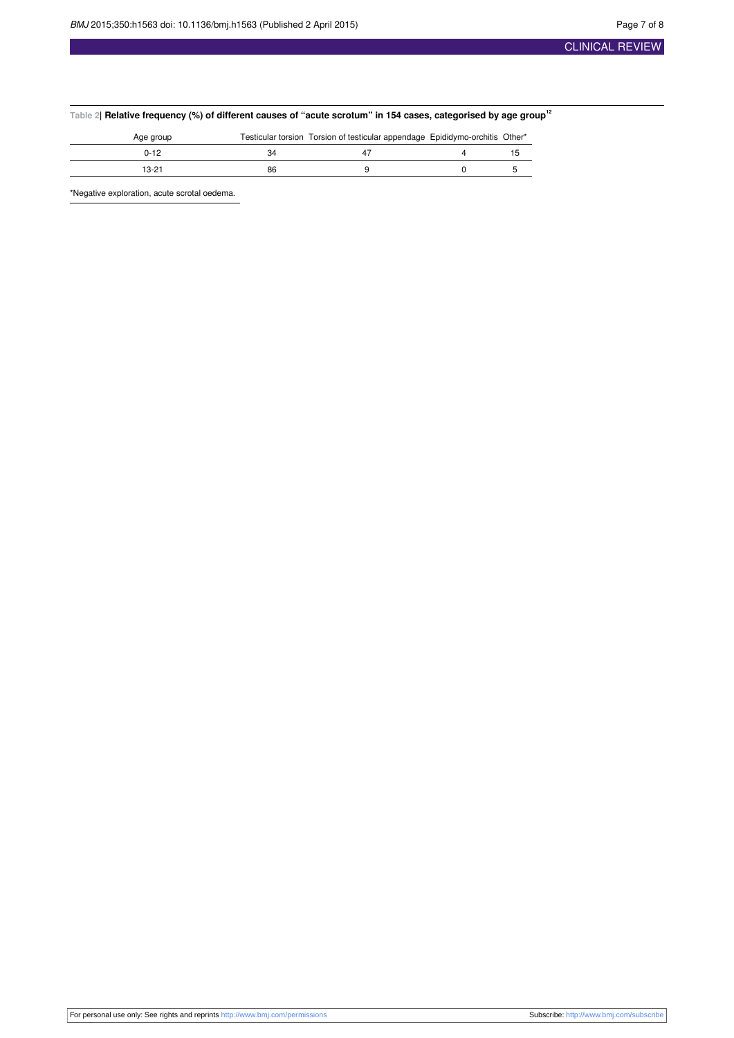<span id="page-6-0"></span>

| <code>Table 2</code>   Relative frequency (%) of different causes of "acute scrotum" in 154 cases, categorised by age group $^{\rm 12}$ |  |  |  |  |
|-----------------------------------------------------------------------------------------------------------------------------------------|--|--|--|--|
|-----------------------------------------------------------------------------------------------------------------------------------------|--|--|--|--|

| Age group |    | Testicular torsion Torsion of testicular appendage Epididymo-orchitis Other* |  |
|-----------|----|------------------------------------------------------------------------------|--|
| $0 - 12$  | 34 |                                                                              |  |
| 13-21     | 86 |                                                                              |  |

\*Negative exploration, acute scrotal oedema.